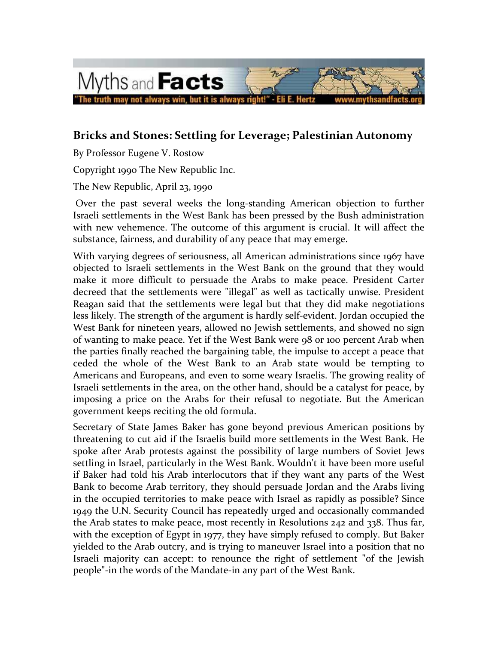

## **Bricks and Stones: Settling for Leverage; Palestinian Autonomy**

By Professor Eugene V. Rostow

Copyright 1990 The New Republic Inc.

The New Republic, April 23, 1990

Over the past several weeks the long-standing American objection to further Israeli settlements in the West Bank has been pressed by the Bush administration with new vehemence. The outcome of this argument is crucial. It will affect the substance, fairness, and durability of any peace that may emerge.

With varying degrees of seriousness, all American administrations since 1967 have objected to Israeli settlements in the West Bank on the ground that they would make it more difficult to persuade the Arabs to make peace. President Carter decreed that the settlements were "illegal" as well as tactically unwise. President Reagan said that the settlements were legal but that they did make negotiations less likely. The strength of the argument is hardly self-evident. Jordan occupied the West Bank for nineteen years, allowed no Jewish settlements, and showed no sign of wanting to make peace. Yet if the West Bank were 98 or 100 percent Arab when the parties finally reached the bargaining table, the impulse to accept a peace that ceded the whole of the West Bank to an Arab state would be tempting to Americans and Europeans, and even to some weary Israelis. The growing reality of Israeli settlements in the area, on the other hand, should be a catalyst for peace, by imposing a price on the Arabs for their refusal to negotiate. But the American government keeps reciting the old formula.

Secretary of State James Baker has gone beyond previous American positions by threatening to cut aid if the Israelis build more settlements in the West Bank. He spoke after Arab protests against the possibility of large numbers of Soviet Jews settling in Israel, particularly in the West Bank. Wouldn't it have been more useful if Baker had told his Arab interlocutors that if they want any parts of the West Bank to become Arab territory, they should persuade Jordan and the Arabs living in the occupied territories to make peace with Israel as rapidly as possible? Since 1949 the U.N. Security Council has repeatedly urged and occasionally commanded the Arab states to make peace, most recently in Resolutions 242 and 338. Thus far, with the exception of Egypt in 1977, they have simply refused to comply. But Baker yielded to the Arab outcry, and is trying to maneuver Israel into a position that no Israeli majority can accept: to renounce the right of settlement "of the Jewish people"-in the words of the Mandate-in any part of the West Bank.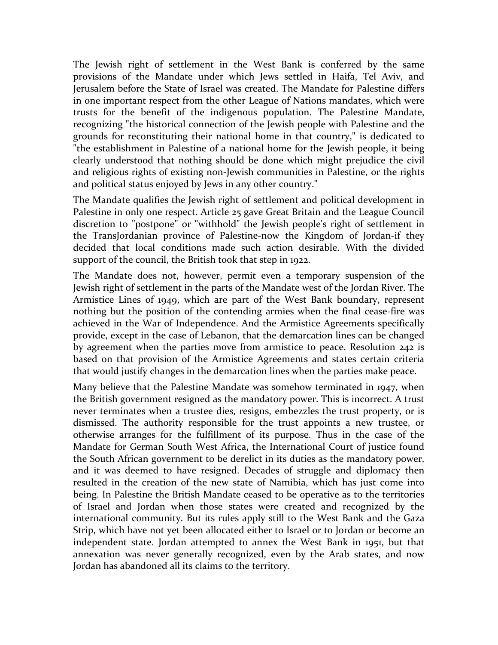The Jewish right of settlement in the West Bank is conferred by the same provisions of the Mandate under which Jews settled in Haifa, Tel Aviv, and Jerusalem before the State of Israel was created. The Mandate for Palestine differs in one important respect from the other League of Nations mandates, which were trusts for the benefit of the indigenous population. The Palestine Mandate, recognizing "the historical connection of the Jewish people with Palestine and the grounds for reconstituting their national home in that country," is dedicated to "the establishment in Palestine of a national home for the Jewish people, it being clearly understood that nothing should be done which might prejudice the civil and religious rights of existing non-Jewish communities in Palestine, or the rights and political status enjoyed by Jews in any other country."

The Mandate qualifies the Jewish right of settlement and political development in Palestine in only one respect. Article 25 gave Great Britain and the League Council discretion to "postpone" or "withhold" the Jewish people's right of settlement in the TransJordanian province of Palestine-now the Kingdom of Jordan-if they decided that local conditions made such action desirable. With the divided support of the council, the British took that step in 1922.

The Mandate does not, however, permit even a temporary suspension of the Jewish right of settlement in the parts of the Mandate west of the Jordan River. The Armistice Lines of 1949, which are part of the West Bank boundary, represent nothing but the position of the contending armies when the final cease-fire was achieved in the War of Independence. And the Armistice Agreements specifically provide, except in the case of Lebanon, that the demarcation lines can be changed by agreement when the parties move from armistice to peace. Resolution 242 is based on that provision of the Armistice Agreements and states certain criteria that would justify changes in the demarcation lines when the parties make peace.

Many believe that the Palestine Mandate was somehow terminated in 1947, when the British government resigned as the mandatory power. This is incorrect. A trust never terminates when a trustee dies, resigns, embezzles the trust property, or is dismissed. The authority responsible for the trust appoints a new trustee, or otherwise arranges for the fulfillment of its purpose. Thus in the case of the Mandate for German South West Africa, the International Court of justice found the South African government to be derelict in its duties as the mandatory power, and it was deemed to have resigned. Decades of struggle and diplomacy then resulted in the creation of the new state of Namibia, which has just come into being. In Palestine the British Mandate ceased to be operative as to the territories of Israel and Jordan when those states were created and recognized by the international community. But its rules apply still to the West Bank and the Gaza Strip, which have not yet been allocated either to Israel or to Jordan or become an independent state. Jordan attempted to annex the West Bank in 1951, but that annexation was never generally recognized, even by the Arab states, and now Jordan has abandoned all its claims to the territory.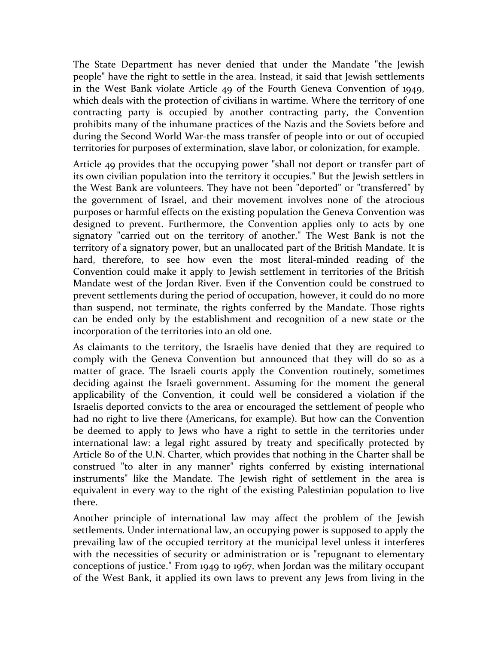The State Department has never denied that under the Mandate "the Jewish people" have the right to settle in the area. Instead, it said that Jewish settlements in the West Bank violate Article 49 of the Fourth Geneva Convention of 1949, which deals with the protection of civilians in wartime. Where the territory of one contracting party is occupied by another contracting party, the Convention prohibits many of the inhumane practices of the Nazis and the Soviets before and during the Second World War-the mass transfer of people into or out of occupied territories for purposes of extermination, slave labor, or colonization, for example.

Article 49 provides that the occupying power "shall not deport or transfer part of its own civilian population into the territory it occupies." But the Jewish settlers in the West Bank are volunteers. They have not been "deported" or "transferred" by the government of Israel, and their movement involves none of the atrocious purposes or harmful effects on the existing population the Geneva Convention was designed to prevent. Furthermore, the Convention applies only to acts by one signatory "carried out on the territory of another." The West Bank is not the territory of a signatory power, but an unallocated part of the British Mandate. It is hard, therefore, to see how even the most literal-minded reading of the Convention could make it apply to Jewish settlement in territories of the British Mandate west of the Jordan River. Even if the Convention could be construed to prevent settlements during the period of occupation, however, it could do no more than suspend, not terminate, the rights conferred by the Mandate. Those rights can be ended only by the establishment and recognition of a new state or the incorporation of the territories into an old one.

As claimants to the territory, the Israelis have denied that they are required to comply with the Geneva Convention but announced that they will do so as a matter of grace. The Israeli courts apply the Convention routinely, sometimes deciding against the Israeli government. Assuming for the moment the general applicability of the Convention, it could well be considered a violation if the Israelis deported convicts to the area or encouraged the settlement of people who had no right to live there (Americans, for example). But how can the Convention be deemed to apply to Jews who have a right to settle in the territories under international law: a legal right assured by treaty and specifically protected by Article 80 of the U.N. Charter, which provides that nothing in the Charter shall be construed "to alter in any manner" rights conferred by existing international instruments" like the Mandate. The Jewish right of settlement in the area is equivalent in every way to the right of the existing Palestinian population to live there.

Another principle of international law may affect the problem of the Jewish settlements. Under international law, an occupying power is supposed to apply the prevailing law of the occupied territory at the municipal level unless it interferes with the necessities of security or administration or is "repugnant to elementary conceptions of justice." From 1949 to 1967, when Jordan was the military occupant of the West Bank, it applied its own laws to prevent any Jews from living in the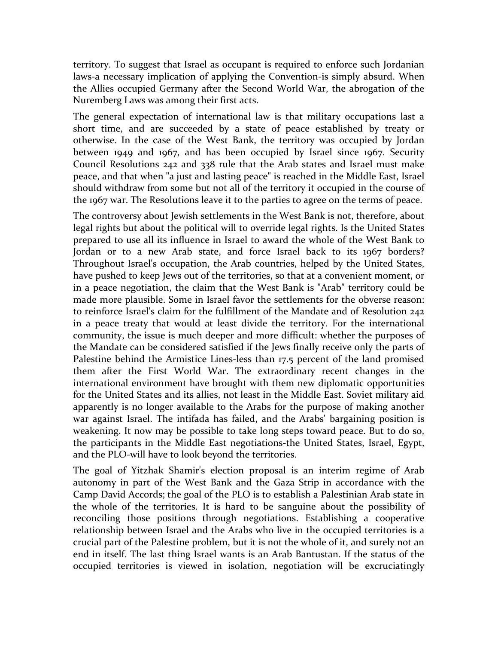territory. To suggest that Israel as occupant is required to enforce such Jordanian laws-a necessary implication of applying the Convention-is simply absurd. When the Allies occupied Germany after the Second World War, the abrogation of the Nuremberg Laws was among their first acts.

The general expectation of international law is that military occupations last a short time, and are succeeded by a state of peace established by treaty or otherwise. In the case of the West Bank, the territory was occupied by Jordan between 1949 and 1967, and has been occupied by Israel since 1967. Security Council Resolutions 242 and 338 rule that the Arab states and Israel must make peace, and that when "a just and lasting peace" is reached in the Middle East, Israel should withdraw from some but not all of the territory it occupied in the course of the 1967 war. The Resolutions leave it to the parties to agree on the terms of peace.

The controversy about Jewish settlements in the West Bank is not, therefore, about legal rights but about the political will to override legal rights. Is the United States prepared to use all its influence in Israel to award the whole of the West Bank to Jordan or to a new Arab state, and force Israel back to its 1967 borders? Throughout Israel's occupation, the Arab countries, helped by the United States, have pushed to keep Jews out of the territories, so that at a convenient moment, or in a peace negotiation, the claim that the West Bank is "Arab" territory could be made more plausible. Some in Israel favor the settlements for the obverse reason: to reinforce Israel's claim for the fulfillment of the Mandate and of Resolution 242 in a peace treaty that would at least divide the territory. For the international community, the issue is much deeper and more difficult: whether the purposes of the Mandate can be considered satisfied if the Jews finally receive only the parts of Palestine behind the Armistice Lines-less than 17.5 percent of the land promised them after the First World War. The extraordinary recent changes in the international environment have brought with them new diplomatic opportunities for the United States and its allies, not least in the Middle East. Soviet military aid apparently is no longer available to the Arabs for the purpose of making another war against Israel. The intifada has failed, and the Arabs' bargaining position is weakening. It now may be possible to take long steps toward peace. But to do so, the participants in the Middle East negotiations-the United States, Israel, Egypt, and the PLO-will have to look beyond the territories.

The goal of Yitzhak Shamir's election proposal is an interim regime of Arab autonomy in part of the West Bank and the Gaza Strip in accordance with the Camp David Accords; the goal of the PLO is to establish a Palestinian Arab state in the whole of the territories. It is hard to be sanguine about the possibility of reconciling those positions through negotiations. Establishing a cooperative relationship between Israel and the Arabs who live in the occupied territories is a crucial part of the Palestine problem, but it is not the whole of it, and surely not an end in itself. The last thing Israel wants is an Arab Bantustan. If the status of the occupied territories is viewed in isolation, negotiation will be excruciatingly